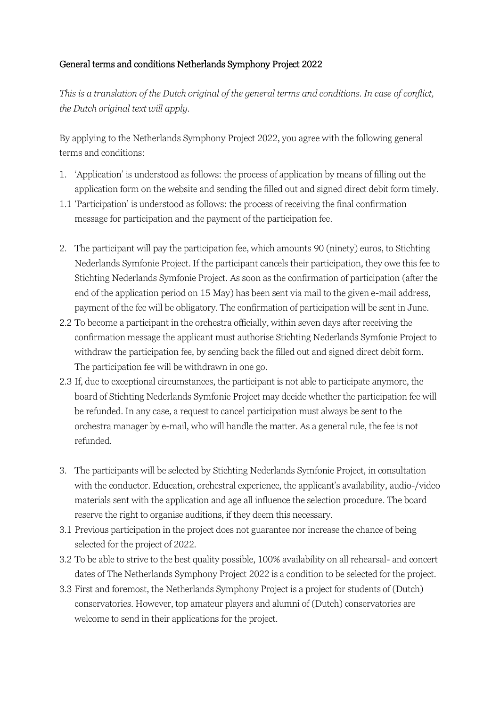## General terms and conditions Netherlands Symphony Project 2022

*This is a translation of the Dutch original of the general terms and conditions. In case of conflict, the Dutch original text will apply.* 

By applying to the Netherlands Symphony Project 2022, you agree with the following general terms and conditions:

- 1. 'Application' is understood as follows: the process of application by means of filling out the application form on the website and sending the filled out and signed direct debit form timely.
- 1.1 'Participation' is understood as follows: the process of receiving the final confirmation message for participation and the payment of the participation fee.
- 2. The participant will pay the participation fee, which amounts 90 (ninety) euros, to Stichting Nederlands Symfonie Project. If the participant cancels their participation, they owe this fee to Stichting Nederlands Symfonie Project. As soon as the confirmation of participation (after the end of the application period on 15 May) has been sent via mail to the given e-mail address, payment of the fee will be obligatory. The confirmation of participation will be sent in June.
- 2.2 To become a participant in the orchestra officially, within seven days after receiving the confirmation message the applicant must authorise Stichting Nederlands Symfonie Project to withdraw the participation fee, by sending back the filled out and signed direct debit form. The participation fee will be withdrawn in one go.
- 2.3 If, due to exceptional circumstances, the participant is not able to participate anymore, the board of Stichting Nederlands Symfonie Project may decide whether the participation fee will be refunded. In any case, a request to cancel participation must always be sent to the orchestra manager by e-mail, who will handle the matter. As a general rule, the fee is not refunded.
- 3. The participants will be selected by Stichting Nederlands Symfonie Project, in consultation with the conductor. Education, orchestral experience, the applicant's availability, audio-/video materials sent with the application and age all influence the selection procedure. The board reserve the right to organise auditions, if they deem this necessary.
- 3.1 Previous participation in the project does not guarantee nor increase the chance of being selected for the project of 2022.
- 3.2 To be able to strive to the best quality possible, 100% availability on all rehearsal- and concert dates of The Netherlands Symphony Project 2022 is a condition to be selected for the project.
- 3.3 First and foremost, the Netherlands Symphony Project is a project for students of (Dutch) conservatories. However, top amateur players and alumni of (Dutch) conservatories are welcome to send in their applications for the project.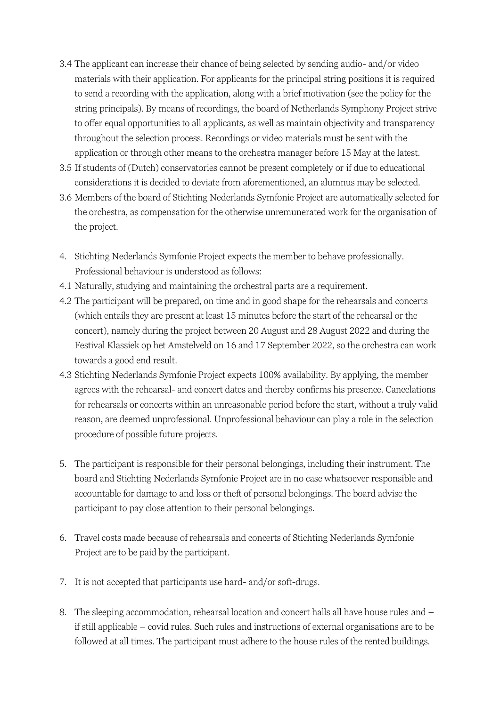- 3.4 The applicant can increase their chance of being selected by sending audio- and/or video materials with their application. For applicants for the principal string positions it is required to send a recording with the application, along with a brief motivation (see the policy for the string principals). By means of recordings, the board of Netherlands Symphony Project strive to offer equal opportunities to all applicants, as well as maintain objectivity and transparency throughout the selection process. Recordings or video materials must be sent with the application or through other means to the orchestra manager before 15 May at the latest.
- 3.5 If students of (Dutch) conservatories cannot be present completely or if due to educational considerations it is decided to deviate from aforementioned, an alumnus may be selected.
- 3.6 Members of the board of Stichting Nederlands Symfonie Project are automatically selected for the orchestra, as compensation for the otherwise unremunerated work for the organisation of the project.
- 4. Stichting Nederlands Symfonie Project expects the member to behave professionally. Professional behaviour is understood as follows:
- 4.1 Naturally, studying and maintaining the orchestral parts are a requirement.
- 4.2 The participant will be prepared, on time and in good shape for the rehearsals and concerts (which entails they are present at least 15 minutes before the start of the rehearsal or the concert), namely during the project between 20 August and 28 August 2022 and during the Festival Klassiek op het Amstelveld on 16 and 17 September 2022, so the orchestra can work towards a good end result.
- 4.3 Stichting Nederlands Symfonie Project expects 100% availability. By applying, the member agrees with the rehearsal- and concert dates and thereby confirms his presence. Cancelations for rehearsals or concerts within an unreasonable period before the start, without a truly valid reason, are deemed unprofessional. Unprofessional behaviour can play a role in the selection procedure of possible future projects.
- 5. The participant is responsible for their personal belongings, including their instrument. The board and Stichting Nederlands Symfonie Project are in no case whatsoever responsible and accountable for damage to and loss or theft of personal belongings. The board advise the participant to pay close attention to their personal belongings.
- 6. Travel costs made because of rehearsals and concerts of Stichting Nederlands Symfonie Project are to be paid by the participant.
- 7. It is not accepted that participants use hard- and/or soft-drugs.
- 8. The sleeping accommodation, rehearsal location and concert halls all have house rules and if still applicable – covid rules. Such rules and instructions of external organisations are to be followed at all times. The participant must adhere to the house rules of the rented buildings.